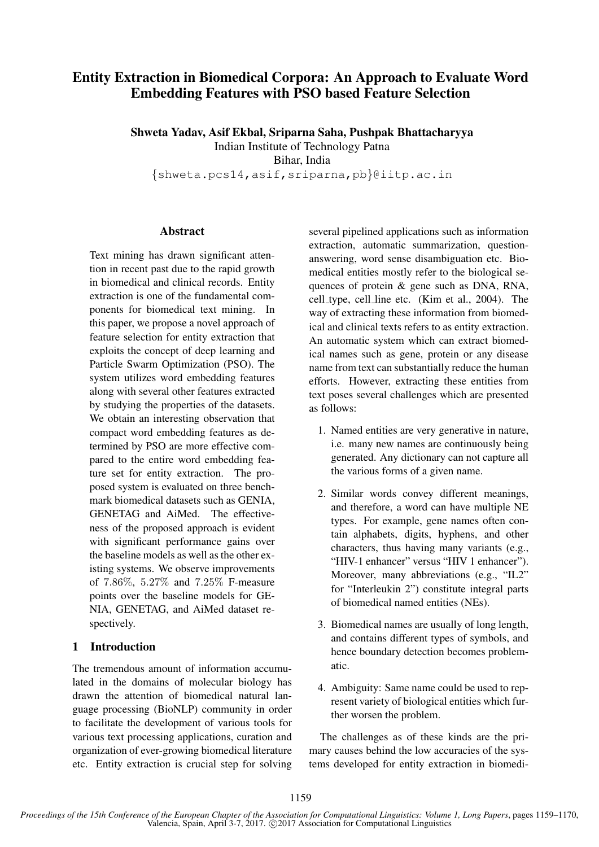# Entity Extraction in Biomedical Corpora: An Approach to Evaluate Word Embedding Features with PSO based Feature Selection

Shweta Yadav, Asif Ekbal, Sriparna Saha, Pushpak Bhattacharyya Indian Institute of Technology Patna

Bihar, India

{shweta.pcs14,asif,sriparna,pb}@iitp.ac.in

#### Abstract

Text mining has drawn significant attention in recent past due to the rapid growth in biomedical and clinical records. Entity extraction is one of the fundamental components for biomedical text mining. In this paper, we propose a novel approach of feature selection for entity extraction that exploits the concept of deep learning and Particle Swarm Optimization (PSO). The system utilizes word embedding features along with several other features extracted by studying the properties of the datasets. We obtain an interesting observation that compact word embedding features as determined by PSO are more effective compared to the entire word embedding feature set for entity extraction. The proposed system is evaluated on three benchmark biomedical datasets such as GENIA, GENETAG and AiMed. The effectiveness of the proposed approach is evident with significant performance gains over the baseline models as well as the other existing systems. We observe improvements of 7.86%, 5.27% and 7.25% F-measure points over the baseline models for GE-NIA, GENETAG, and AiMed dataset respectively.

### 1 Introduction

The tremendous amount of information accumulated in the domains of molecular biology has drawn the attention of biomedical natural language processing (BioNLP) community in order to facilitate the development of various tools for various text processing applications, curation and organization of ever-growing biomedical literature etc. Entity extraction is crucial step for solving

several pipelined applications such as information extraction, automatic summarization, questionanswering, word sense disambiguation etc. Biomedical entities mostly refer to the biological sequences of protein & gene such as DNA, RNA, cell type, cell line etc. (Kim et al., 2004). The way of extracting these information from biomedical and clinical texts refers to as entity extraction. An automatic system which can extract biomedical names such as gene, protein or any disease name from text can substantially reduce the human efforts. However, extracting these entities from text poses several challenges which are presented as follows:

- 1. Named entities are very generative in nature, i.e. many new names are continuously being generated. Any dictionary can not capture all the various forms of a given name.
- 2. Similar words convey different meanings, and therefore, a word can have multiple NE types. For example, gene names often contain alphabets, digits, hyphens, and other characters, thus having many variants (e.g., "HIV-1 enhancer" versus "HIV 1 enhancer"). Moreover, many abbreviations (e.g., "IL2" for "Interleukin 2") constitute integral parts of biomedical named entities (NEs).
- 3. Biomedical names are usually of long length, and contains different types of symbols, and hence boundary detection becomes problematic.
- 4. Ambiguity: Same name could be used to represent variety of biological entities which further worsen the problem.

The challenges as of these kinds are the primary causes behind the low accuracies of the systems developed for entity extraction in biomedi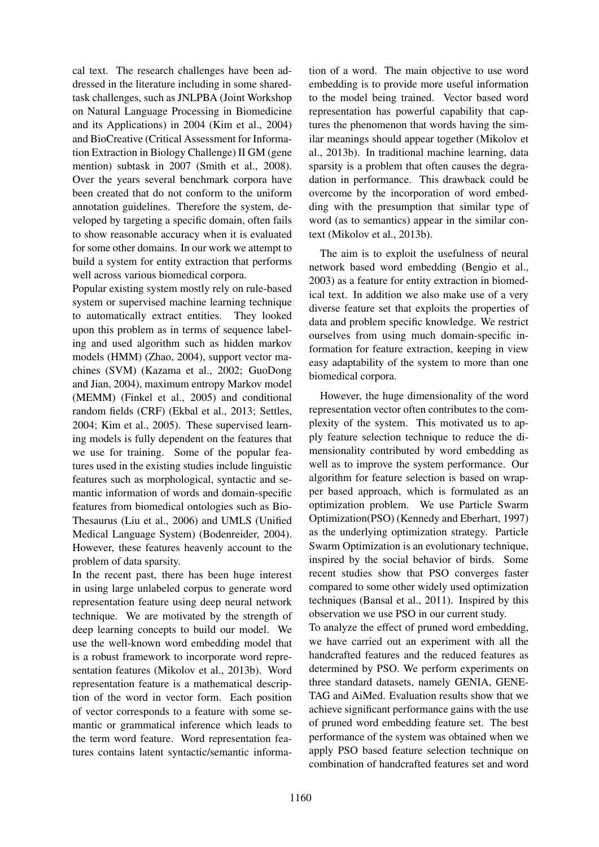cal text. The research challenges have been addressed in the literature including in some sharedtask challenges, such as JNLPBA (Joint Workshop on Natural Language Processing in Biomedicine and its Applications) in 2004 (Kim et al., 2004) and BioCreative (Critical Assessment for Information Extraction in Biology Challenge) II GM (gene mention) subtask in 2007 (Smith et al., 2008). Over the years several benchmark corpora have been created that do not conform to the uniform annotation guidelines. Therefore the system, developed by targeting a specific domain, often fails to show reasonable accuracy when it is evaluated for some other domains. In our work we attempt to build a system for entity extraction that performs well across various biomedical corpora.

Popular existing system mostly rely on rule-based system or supervised machine learning technique to automatically extract entities. They looked upon this problem as in terms of sequence labeling and used algorithm such as hidden markov models (HMM) (Zhao, 2004), support vector machines (SVM) (Kazama et al., 2002; GuoDong and Jian, 2004), maximum entropy Markov model (MEMM) (Finkel et al., 2005) and conditional random fields (CRF) (Ekbal et al., 2013; Settles, 2004; Kim et al., 2005). These supervised learning models is fully dependent on the features that we use for training. Some of the popular features used in the existing studies include linguistic features such as morphological, syntactic and semantic information of words and domain-specific features from biomedical ontologies such as Bio-Thesaurus (Liu et al., 2006) and UMLS (Unified Medical Language System) (Bodenreider, 2004). However, these features heavenly account to the problem of data sparsity.

In the recent past, there has been huge interest in using large unlabeled corpus to generate word representation feature using deep neural network technique. We are motivated by the strength of deep learning concepts to build our model. We use the well-known word embedding model that is a robust framework to incorporate word representation features (Mikolov et al., 2013b). Word representation feature is a mathematical description of the word in vector form. Each position of vector corresponds to a feature with some semantic or grammatical inference which leads to the term word feature. Word representation features contains latent syntactic/semantic information of a word. The main objective to use word embedding is to provide more useful information to the model being trained. Vector based word representation has powerful capability that captures the phenomenon that words having the similar meanings should appear together (Mikolov et al., 2013b). In traditional machine learning, data sparsity is a problem that often causes the degradation in performance. This drawback could be overcome by the incorporation of word embedding with the presumption that similar type of word (as to semantics) appear in the similar context (Mikolov et al., 2013b).

The aim is to exploit the usefulness of neural network based word embedding (Bengio et al., 2003) as a feature for entity extraction in biomedical text. In addition we also make use of a very diverse feature set that exploits the properties of data and problem specific knowledge. We restrict ourselves from using much domain-specific information for feature extraction, keeping in view easy adaptability of the system to more than one biomedical corpora.

However, the huge dimensionality of the word representation vector often contributes to the complexity of the system. This motivated us to apply feature selection technique to reduce the dimensionality contributed by word embedding as well as to improve the system performance. Our algorithm for feature selection is based on wrapper based approach, which is formulated as an optimization problem. We use Particle Swarm Optimization(PSO) (Kennedy and Eberhart, 1997) as the underlying optimization strategy. Particle Swarm Optimization is an evolutionary technique, inspired by the social behavior of birds. Some recent studies show that PSO converges faster compared to some other widely used optimization techniques (Bansal et al., 2011). Inspired by this observation we use PSO in our current study.

To analyze the effect of pruned word embedding, we have carried out an experiment with all the handcrafted features and the reduced features as determined by PSO. We perform experiments on three standard datasets, namely GENIA, GENE-TAG and AiMed. Evaluation results show that we achieve significant performance gains with the use of pruned word embedding feature set. The best performance of the system was obtained when we apply PSO based feature selection technique on combination of handcrafted features set and word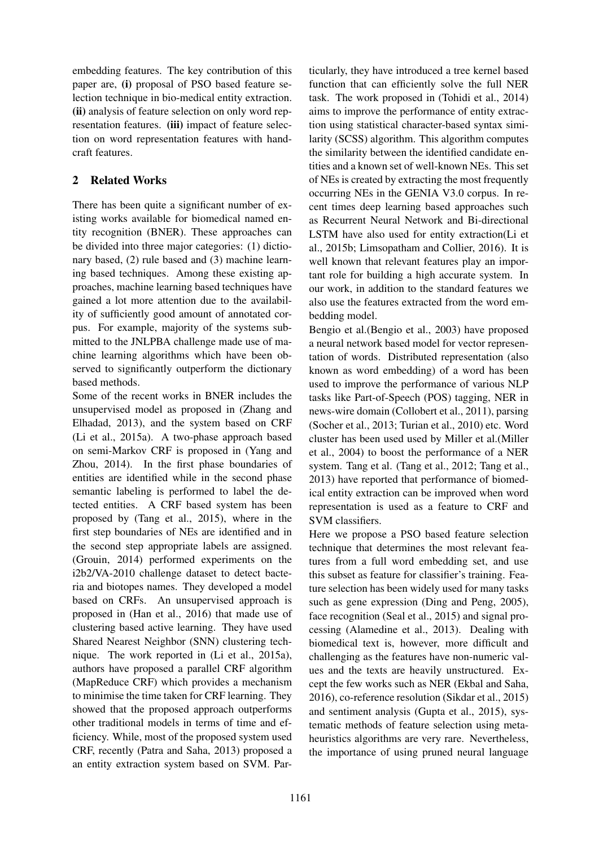embedding features. The key contribution of this paper are, (i) proposal of PSO based feature selection technique in bio-medical entity extraction. (ii) analysis of feature selection on only word representation features. (iii) impact of feature selection on word representation features with handcraft features.

# 2 Related Works

There has been quite a significant number of existing works available for biomedical named entity recognition (BNER). These approaches can be divided into three major categories: (1) dictionary based, (2) rule based and (3) machine learning based techniques. Among these existing approaches, machine learning based techniques have gained a lot more attention due to the availability of sufficiently good amount of annotated corpus. For example, majority of the systems submitted to the JNLPBA challenge made use of machine learning algorithms which have been observed to significantly outperform the dictionary based methods.

Some of the recent works in BNER includes the unsupervised model as proposed in (Zhang and Elhadad, 2013), and the system based on CRF (Li et al., 2015a). A two-phase approach based on semi-Markov CRF is proposed in (Yang and Zhou, 2014). In the first phase boundaries of entities are identified while in the second phase semantic labeling is performed to label the detected entities. A CRF based system has been proposed by (Tang et al., 2015), where in the first step boundaries of NEs are identified and in the second step appropriate labels are assigned. (Grouin, 2014) performed experiments on the i2b2/VA-2010 challenge dataset to detect bacteria and biotopes names. They developed a model based on CRFs. An unsupervised approach is proposed in (Han et al., 2016) that made use of clustering based active learning. They have used Shared Nearest Neighbor (SNN) clustering technique. The work reported in (Li et al., 2015a), authors have proposed a parallel CRF algorithm (MapReduce CRF) which provides a mechanism to minimise the time taken for CRF learning. They showed that the proposed approach outperforms other traditional models in terms of time and efficiency. While, most of the proposed system used CRF, recently (Patra and Saha, 2013) proposed a an entity extraction system based on SVM. Particularly, they have introduced a tree kernel based function that can efficiently solve the full NER task. The work proposed in (Tohidi et al., 2014) aims to improve the performance of entity extraction using statistical character-based syntax similarity (SCSS) algorithm. This algorithm computes the similarity between the identified candidate entities and a known set of well-known NEs. This set of NEs is created by extracting the most frequently occurring NEs in the GENIA V3.0 corpus. In recent times deep learning based approaches such as Recurrent Neural Network and Bi-directional LSTM have also used for entity extraction(Li et al., 2015b; Limsopatham and Collier, 2016). It is well known that relevant features play an important role for building a high accurate system. In our work, in addition to the standard features we also use the features extracted from the word embedding model.

Bengio et al.(Bengio et al., 2003) have proposed a neural network based model for vector representation of words. Distributed representation (also known as word embedding) of a word has been used to improve the performance of various NLP tasks like Part-of-Speech (POS) tagging, NER in news-wire domain (Collobert et al., 2011), parsing (Socher et al., 2013; Turian et al., 2010) etc. Word cluster has been used used by Miller et al.(Miller et al., 2004) to boost the performance of a NER system. Tang et al. (Tang et al., 2012; Tang et al., 2013) have reported that performance of biomedical entity extraction can be improved when word representation is used as a feature to CRF and SVM classifiers.

Here we propose a PSO based feature selection technique that determines the most relevant features from a full word embedding set, and use this subset as feature for classifier's training. Feature selection has been widely used for many tasks such as gene expression (Ding and Peng, 2005), face recognition (Seal et al., 2015) and signal processing (Alamedine et al., 2013). Dealing with biomedical text is, however, more difficult and challenging as the features have non-numeric values and the texts are heavily unstructured. Except the few works such as NER (Ekbal and Saha, 2016), co-reference resolution (Sikdar et al., 2015) and sentiment analysis (Gupta et al., 2015), systematic methods of feature selection using metaheuristics algorithms are very rare. Nevertheless, the importance of using pruned neural language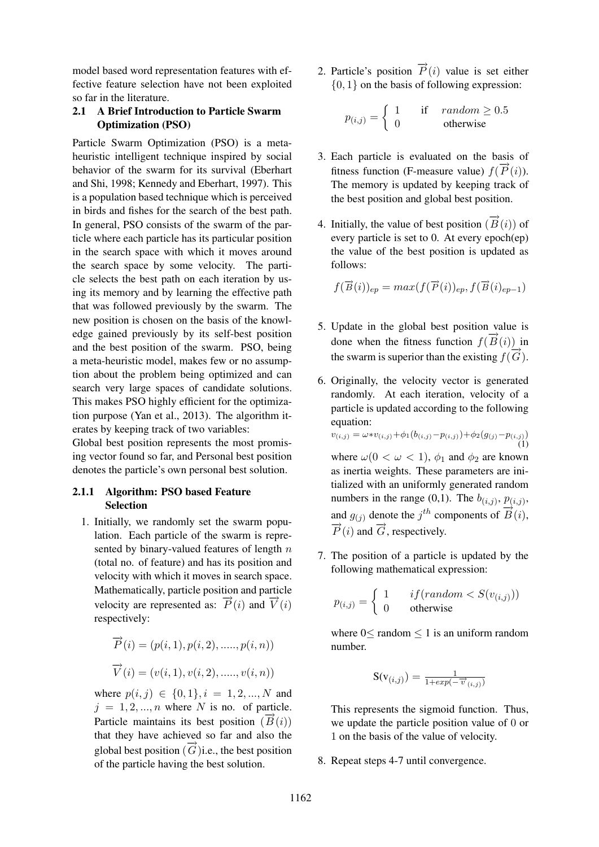model based word representation features with effective feature selection have not been exploited so far in the literature.

### 2.1 A Brief Introduction to Particle Swarm Optimization (PSO)

Particle Swarm Optimization (PSO) is a metaheuristic intelligent technique inspired by social behavior of the swarm for its survival (Eberhart and Shi, 1998; Kennedy and Eberhart, 1997). This is a population based technique which is perceived in birds and fishes for the search of the best path. In general, PSO consists of the swarm of the particle where each particle has its particular position in the search space with which it moves around the search space by some velocity. The particle selects the best path on each iteration by using its memory and by learning the effective path that was followed previously by the swarm. The new position is chosen on the basis of the knowledge gained previously by its self-best position and the best position of the swarm. PSO, being a meta-heuristic model, makes few or no assumption about the problem being optimized and can search very large spaces of candidate solutions. This makes PSO highly efficient for the optimization purpose (Yan et al., 2013). The algorithm iterates by keeping track of two variables:

Global best position represents the most promising vector found so far, and Personal best position denotes the particle's own personal best solution.

### 2.1.1 Algorithm: PSO based Feature Selection

1. Initially, we randomly set the swarm population. Each particle of the swarm is represented by binary-valued features of length  $n$ (total no. of feature) and has its position and velocity with which it moves in search space. Mathematically, particle position and particle velocity are represented as:  $\vec{P}(i)$  and  $\vec{V}(i)$ respectively:

$$
\overrightarrow{P}(i) = (p(i, 1), p(i, 2), \dots, p(i, n))
$$
  

$$
\overrightarrow{V}(i) = (v(i, 1), v(i, 2), \dots, v(i, n))
$$

where  $p(i, j) \in \{0, 1\}, i = 1, 2, ..., N$  and  $j = 1, 2, ..., n$  where N is no. of particle. Particle maintains its best position  $(\vec{B}(i))$ that they have achieved so far and also the global best position  $(\vec{G})$ i.e., the best position of the particle having the best solution.

2. Particle's position  $\overrightarrow{P}(i)$  value is set either  ${0, 1}$  on the basis of following expression:

$$
p_{(i,j)} = \begin{cases} 1 & \text{if } random \ge 0.5\\ 0 & \text{otherwise} \end{cases}
$$

- 3. Each particle is evaluated on the basis of fitness function (F-measure value)  $f(\vec{P}(i))$ . The memory is updated by keeping track of the best position and global best position.
- 4. Initially, the value of best position  $(\vec{B}(i))$  of every particle is set to 0. At every epoch(ep) the value of the best position is updated as follows:

 $f(\vec{B}(i))_{ep} = max(f(\vec{P}(i))_{ep}, f(\vec{B}(i)_{ep-1}))$ 

- 5. Update in the global best position value is done when the fitness function  $f(\vec{B}(i))$  in the swarm is superior than the existing  $f(\vec{G})$ .
- 6. Originally, the velocity vector is generated randomly. At each iteration, velocity of a particle is updated according to the following equation:  $v_{(i,j)} = \omega * v_{(i,j)} + \phi_1(b_{(i,j)} - p_{(i,j)}) + \phi_2(g_{(j)} - p_{(i,j)})$ (1)

where  $\omega(0 < \omega < 1)$ ,  $\phi_1$  and  $\phi_2$  are known as inertia weights. These parameters are initialized with an uniformly generated random numbers in the range (0,1). The  $b_{(i,j)}$ ,  $p_{(i,j)}$ , and  $g_{(j)}$  denote the  $j^{th}$  components of  $\overrightarrow{B}(i)$ ,  $\overrightarrow{P}(i)$  and  $\overrightarrow{G}$ , respectively.

7. The position of a particle is updated by the following mathematical expression:

$$
p_{(i,j)} = \begin{cases} 1 & if (random < S(v_{(i,j)})) \\ 0 & otherwise \end{cases}
$$

where  $0 <$  random  $< 1$  is an uniform random number.

$$
\mathbf{S}(\mathbf{v}_{(i,j)}) = \tfrac{1}{1 + \exp(-\overrightarrow{v}_{(i,j)})}
$$

This represents the sigmoid function. Thus, we update the particle position value of 0 or 1 on the basis of the value of velocity.

8. Repeat steps 4-7 until convergence.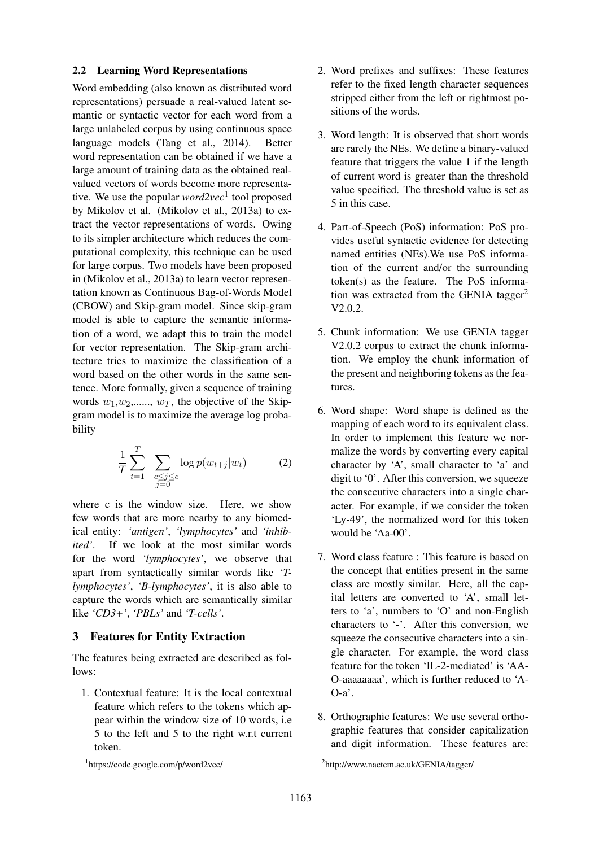#### 2.2 Learning Word Representations

Word embedding (also known as distributed word representations) persuade a real-valued latent semantic or syntactic vector for each word from a large unlabeled corpus by using continuous space language models (Tang et al., 2014). Better word representation can be obtained if we have a large amount of training data as the obtained realvalued vectors of words become more representative. We use the popular *word2vec*<sup>1</sup> tool proposed by Mikolov et al. (Mikolov et al., 2013a) to extract the vector representations of words. Owing to its simpler architecture which reduces the computational complexity, this technique can be used for large corpus. Two models have been proposed in (Mikolov et al., 2013a) to learn vector representation known as Continuous Bag-of-Words Model (CBOW) and Skip-gram model. Since skip-gram model is able to capture the semantic information of a word, we adapt this to train the model for vector representation. The Skip-gram architecture tries to maximize the classification of a word based on the other words in the same sentence. More formally, given a sequence of training words  $w_1, w_2, \dots, w_T$ , the objective of the Skipgram model is to maximize the average log probability

$$
\frac{1}{T} \sum_{t=1}^{T} \sum_{\substack{-c \le j \le c \\ j=0}} \log p(w_{t+j}|w_t)
$$
 (2)

where c is the window size. Here, we show few words that are more nearby to any biomedical entity: *'antigen'*, *'lymphocytes'* and *'inhibited'*. If we look at the most similar words for the word *'lymphocytes'*, we observe that apart from syntactically similar words like *'Tlymphocytes'*, *'B-lymphocytes'*, it is also able to capture the words which are semantically similar like *'CD3+'*, *'PBLs'* and *'T-cells'*.

#### 3 Features for Entity Extraction

The features being extracted are described as follows:

1. Contextual feature: It is the local contextual feature which refers to the tokens which appear within the window size of 10 words, i.e 5 to the left and 5 to the right w.r.t current token.

- 2. Word prefixes and suffixes: These features refer to the fixed length character sequences stripped either from the left or rightmost positions of the words.
- 3. Word length: It is observed that short words are rarely the NEs. We define a binary-valued feature that triggers the value 1 if the length of current word is greater than the threshold value specified. The threshold value is set as 5 in this case.
- 4. Part-of-Speech (PoS) information: PoS provides useful syntactic evidence for detecting named entities (NEs).We use PoS information of the current and/or the surrounding token(s) as the feature. The PoS information was extracted from the GENIA tagger<sup>2</sup> V2.0.2.
- 5. Chunk information: We use GENIA tagger V2.0.2 corpus to extract the chunk information. We employ the chunk information of the present and neighboring tokens as the features.
- 6. Word shape: Word shape is defined as the mapping of each word to its equivalent class. In order to implement this feature we normalize the words by converting every capital character by 'A', small character to 'a' and digit to '0'. After this conversion, we squeeze the consecutive characters into a single character. For example, if we consider the token 'Ly-49', the normalized word for this token would be 'Aa-00'.
- 7. Word class feature : This feature is based on the concept that entities present in the same class are mostly similar. Here, all the capital letters are converted to 'A', small letters to 'a', numbers to 'O' and non-English characters to '-'. After this conversion, we squeeze the consecutive characters into a single character. For example, the word class feature for the token 'IL-2-mediated' is 'AA-O-aaaaaaaa', which is further reduced to 'A- $O-a$ <sup>'</sup>.
- 8. Orthographic features: We use several orthographic features that consider capitalization and digit information. These features are:

<sup>1</sup> https://code.google.com/p/word2vec/

<sup>2</sup> http://www.nactem.ac.uk/GENIA/tagger/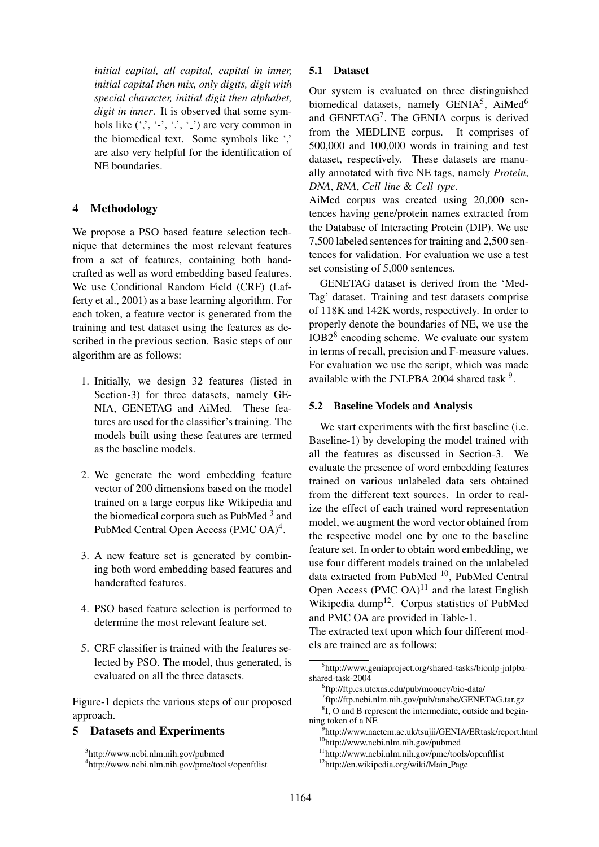*initial capital, all capital, capital in inner, initial capital then mix, only digits, digit with special character, initial digit then alphabet, digit in inner*. It is observed that some symbols like  $($ ', '-', '.', '<sub>-</sub>') are very common in the biomedical text. Some symbols like ',' are also very helpful for the identification of NE boundaries.

# 4 Methodology

We propose a PSO based feature selection technique that determines the most relevant features from a set of features, containing both handcrafted as well as word embedding based features. We use Conditional Random Field (CRF) (Lafferty et al., 2001) as a base learning algorithm. For each token, a feature vector is generated from the training and test dataset using the features as described in the previous section. Basic steps of our algorithm are as follows:

- 1. Initially, we design 32 features (listed in Section-3) for three datasets, namely GE-NIA, GENETAG and AiMed. These features are used for the classifier's training. The models built using these features are termed as the baseline models.
- 2. We generate the word embedding feature vector of 200 dimensions based on the model trained on a large corpus like Wikipedia and the biomedical corpora such as PubMed<sup>3</sup> and PubMed Central Open Access (PMC OA)<sup>4</sup>.
- 3. A new feature set is generated by combining both word embedding based features and handcrafted features.
- 4. PSO based feature selection is performed to determine the most relevant feature set.
- 5. CRF classifier is trained with the features selected by PSO. The model, thus generated, is evaluated on all the three datasets.

Figure-1 depicts the various steps of our proposed approach.

# 5 Datasets and Experiments

# 5.1 Dataset

Our system is evaluated on three distinguished biomedical datasets, namely GENIA<sup>5</sup>, AiMed<sup>6</sup> and GENETAG<sup>7</sup>. The GENIA corpus is derived from the MEDLINE corpus. It comprises of 500,000 and 100,000 words in training and test dataset, respectively. These datasets are manually annotated with five NE tags, namely *Protein*, *DNA*, *RNA*, *Cell line* & *Cell type*.

AiMed corpus was created using 20,000 sentences having gene/protein names extracted from the Database of Interacting Protein (DIP). We use 7,500 labeled sentences for training and 2,500 sentences for validation. For evaluation we use a test set consisting of 5,000 sentences.

GENETAG dataset is derived from the 'Med-Tag' dataset. Training and test datasets comprise of 118K and 142K words, respectively. In order to properly denote the boundaries of NE, we use the IOB2<sup>8</sup> encoding scheme. We evaluate our system in terms of recall, precision and F-measure values. For evaluation we use the script, which was made available with the JNLPBA 2004 shared task<sup>9</sup>.

### 5.2 Baseline Models and Analysis

We start experiments with the first baseline (i.e. Baseline-1) by developing the model trained with all the features as discussed in Section-3. We evaluate the presence of word embedding features trained on various unlabeled data sets obtained from the different text sources. In order to realize the effect of each trained word representation model, we augment the word vector obtained from the respective model one by one to the baseline feature set. In order to obtain word embedding, we use four different models trained on the unlabeled data extracted from PubMed<sup>10</sup>, PubMed Central Open Access (PMC  $OA$ )<sup>11</sup> and the latest English Wikipedia dump12. Corpus statistics of PubMed and PMC OA are provided in Table-1.

The extracted text upon which four different models are trained are as follows:

<sup>3</sup> http://www.ncbi.nlm.nih.gov/pubmed

<sup>4</sup> http://www.ncbi.nlm.nih.gov/pmc/tools/openftlist

<sup>5</sup> http://www.geniaproject.org/shared-tasks/bionlp-jnlpbashared-task-2004

<sup>6</sup> ftp://ftp.cs.utexas.edu/pub/mooney/bio-data/

<sup>7</sup> ftp://ftp.ncbi.nlm.nih.gov/pub/tanabe/GENETAG.tar.gz

<sup>8</sup> I, O and B represent the intermediate, outside and beginning token of a NE

<sup>9</sup> http://www.nactem.ac.uk/tsujii/GENIA/ERtask/report.html <sup>10</sup>http://www.ncbi.nlm.nih.gov/pubmed

<sup>11</sup>http://www.ncbi.nlm.nih.gov/pmc/tools/openftlist

<sup>&</sup>lt;sup>12</sup>http://en.wikipedia.org/wiki/Main\_Page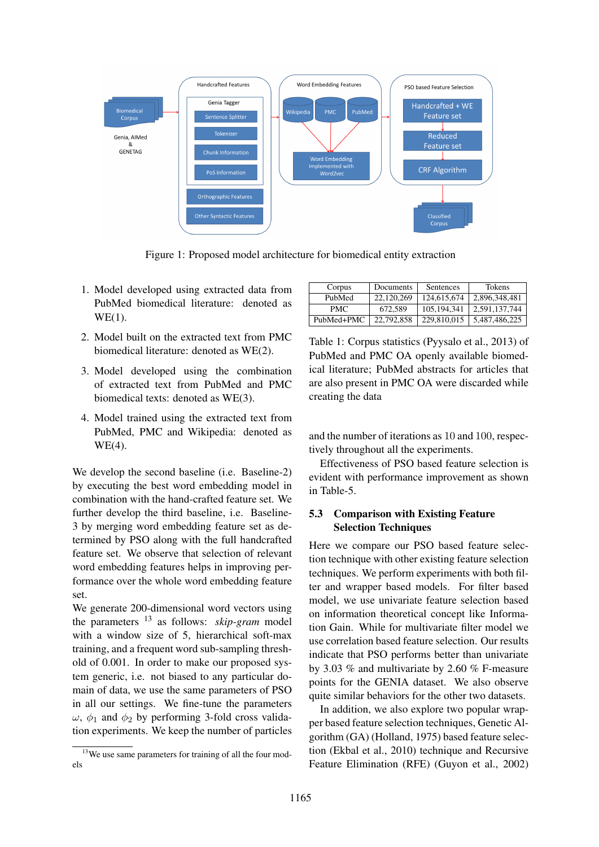

Figure 1: Proposed model architecture for biomedical entity extraction

- 1. Model developed using extracted data from PubMed biomedical literature: denoted as WE(1).
- 2. Model built on the extracted text from PMC biomedical literature: denoted as WE(2).
- 3. Model developed using the combination of extracted text from PubMed and PMC biomedical texts: denoted as WE(3).
- 4. Model trained using the extracted text from PubMed, PMC and Wikipedia: denoted as WE(4).

We develop the second baseline (i.e. Baseline-2) by executing the best word embedding model in combination with the hand-crafted feature set. We further develop the third baseline, i.e. Baseline-3 by merging word embedding feature set as determined by PSO along with the full handcrafted feature set. We observe that selection of relevant word embedding features helps in improving performance over the whole word embedding feature set.

We generate 200-dimensional word vectors using the parameters <sup>13</sup> as follows: *skip-gram* model with a window size of 5, hierarchical soft-max training, and a frequent word sub-sampling threshold of 0.001. In order to make our proposed system generic, i.e. not biased to any particular domain of data, we use the same parameters of PSO in all our settings. We fine-tune the parameters  $ω, φ<sub>1</sub>$  and  $φ<sub>2</sub>$  by performing 3-fold cross validation experiments. We keep the number of particles

| Corpus     | Documents  | Sentences   | <b>Tokens</b> |
|------------|------------|-------------|---------------|
| PubMed     | 22,120,269 | 124,615,674 | 2.896.348.481 |
| PMC.       | 672.589    | 105.194.341 | 2.591.137.744 |
| PubMed+PMC | 22,792,858 | 229,810,015 | 5,487,486,225 |

Table 1: Corpus statistics (Pyysalo et al., 2013) of PubMed and PMC OA openly available biomedical literature; PubMed abstracts for articles that are also present in PMC OA were discarded while creating the data

and the number of iterations as 10 and 100, respectively throughout all the experiments.

Effectiveness of PSO based feature selection is evident with performance improvement as shown in Table-5.

#### 5.3 Comparison with Existing Feature Selection Techniques

Here we compare our PSO based feature selection technique with other existing feature selection techniques. We perform experiments with both filter and wrapper based models. For filter based model, we use univariate feature selection based on information theoretical concept like Information Gain. While for multivariate filter model we use correlation based feature selection. Our results indicate that PSO performs better than univariate by 3.03 % and multivariate by 2.60 % F-measure points for the GENIA dataset. We also observe quite similar behaviors for the other two datasets.

In addition, we also explore two popular wrapper based feature selection techniques, Genetic Algorithm (GA) (Holland, 1975) based feature selection (Ekbal et al., 2010) technique and Recursive Feature Elimination (RFE) (Guyon et al., 2002)

<sup>&</sup>lt;sup>13</sup>We use same parameters for training of all the four models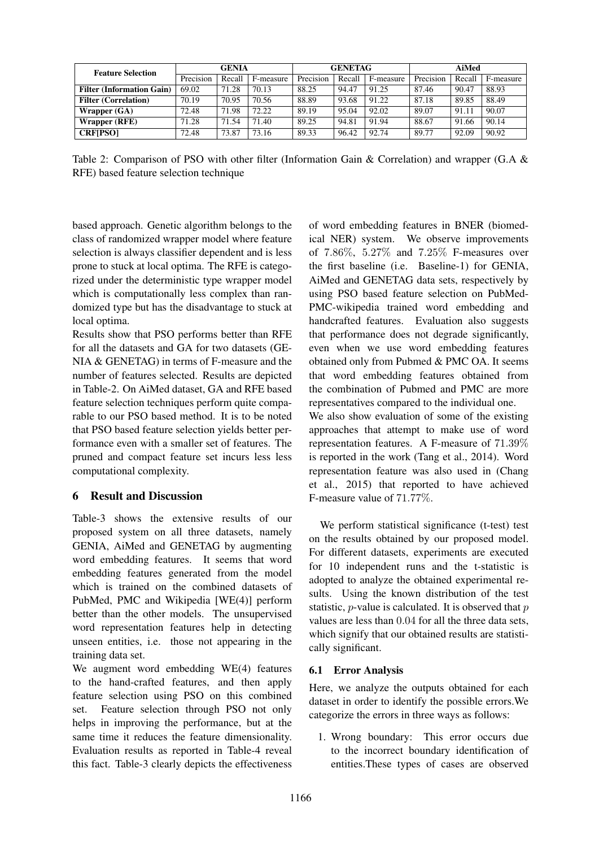| <b>Feature Selection</b>         | <b>GENIA</b> |        |           | <b>GENETAG</b> |        |           | AiMed     |        |           |
|----------------------------------|--------------|--------|-----------|----------------|--------|-----------|-----------|--------|-----------|
|                                  | Precision    | Recall | F-measure | Precision      | Recall | F-measure | Precision | Recall | F-measure |
| <b>Filter (Information Gain)</b> | 69.02        | 71.28  | 70.13     | 88.25          | 94.47  | 91.25     | 87.46     | 90.47  | 88.93     |
| <b>Filter (Correlation)</b>      | 70.19        | 70.95  | 70.56     | 88.89          | 93.68  | 91.22     | 87.18     | 89.85  | 88.49     |
| Wrapper $(GA)$                   | 72.48        | 71.98  | 72.22     | 89.19          | 95.04  | 92.02     | 89.07     | 91.11  | 90.07     |
| Wrapper (RFE)                    | 71.28        | 71.54  | 71.40     | 89.25          | 94.81  | 91.94     | 88.67     | 91.66  | 90.14     |
| <b>CRF[PSO]</b>                  | 72.48        | 73.87  | 73.16     | 89.33          | 96.42  | 92.74     | 89.77     | 92.09  | 90.92     |

Table 2: Comparison of PSO with other filter (Information Gain & Correlation) and wrapper (G.A & RFE) based feature selection technique

based approach. Genetic algorithm belongs to the class of randomized wrapper model where feature selection is always classifier dependent and is less prone to stuck at local optima. The RFE is categorized under the deterministic type wrapper model which is computationally less complex than randomized type but has the disadvantage to stuck at local optima.

Results show that PSO performs better than RFE for all the datasets and GA for two datasets (GE-NIA & GENETAG) in terms of F-measure and the number of features selected. Results are depicted in Table-2. On AiMed dataset, GA and RFE based feature selection techniques perform quite comparable to our PSO based method. It is to be noted that PSO based feature selection yields better performance even with a smaller set of features. The pruned and compact feature set incurs less less computational complexity.

# 6 Result and Discussion

Table-3 shows the extensive results of our proposed system on all three datasets, namely GENIA, AiMed and GENETAG by augmenting word embedding features. It seems that word embedding features generated from the model which is trained on the combined datasets of PubMed, PMC and Wikipedia [WE(4)] perform better than the other models. The unsupervised word representation features help in detecting unseen entities, i.e. those not appearing in the training data set.

We augment word embedding WE(4) features to the hand-crafted features, and then apply feature selection using PSO on this combined set. Feature selection through PSO not only helps in improving the performance, but at the same time it reduces the feature dimensionality. Evaluation results as reported in Table-4 reveal this fact. Table-3 clearly depicts the effectiveness of word embedding features in BNER (biomedical NER) system. We observe improvements of 7.86%, 5.27% and 7.25% F-measures over the first baseline (i.e. Baseline-1) for GENIA, AiMed and GENETAG data sets, respectively by using PSO based feature selection on PubMed-PMC-wikipedia trained word embedding and handcrafted features. Evaluation also suggests that performance does not degrade significantly, even when we use word embedding features obtained only from Pubmed & PMC OA. It seems that word embedding features obtained from the combination of Pubmed and PMC are more representatives compared to the individual one.

We also show evaluation of some of the existing approaches that attempt to make use of word representation features. A F-measure of 71.39% is reported in the work (Tang et al., 2014). Word representation feature was also used in (Chang et al., 2015) that reported to have achieved F-measure value of 71.77%.

We perform statistical significance (t-test) test on the results obtained by our proposed model. For different datasets, experiments are executed for 10 independent runs and the t-statistic is adopted to analyze the obtained experimental results. Using the known distribution of the test statistic,  $p$ -value is calculated. It is observed that  $p$ values are less than 0.04 for all the three data sets, which signify that our obtained results are statistically significant.

# 6.1 Error Analysis

Here, we analyze the outputs obtained for each dataset in order to identify the possible errors.We categorize the errors in three ways as follows:

1. Wrong boundary: This error occurs due to the incorrect boundary identification of entities.These types of cases are observed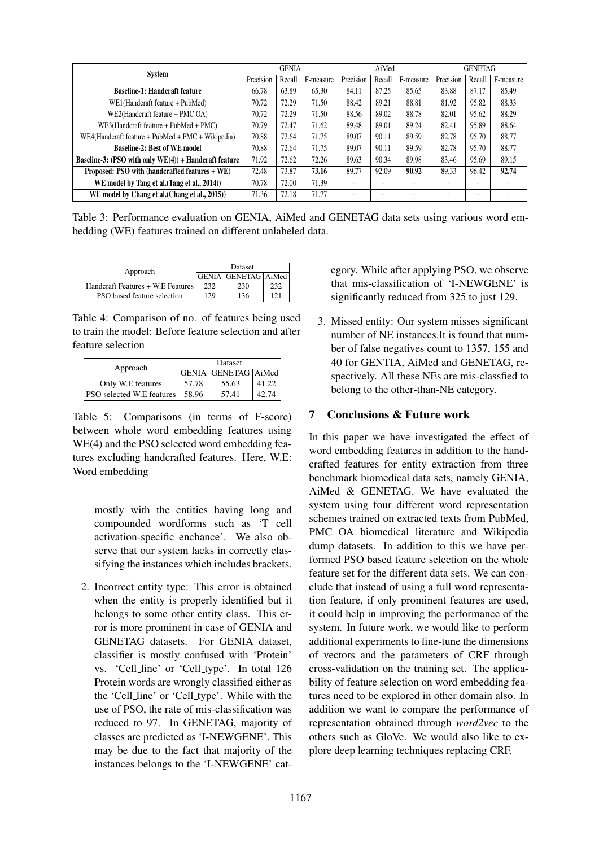|                                                          | <b>GENIA</b> |        |           | AiMed     |        |           | <b>GENETAG</b> |                          |           |
|----------------------------------------------------------|--------------|--------|-----------|-----------|--------|-----------|----------------|--------------------------|-----------|
| <b>System</b>                                            | Precision    | Recall | F-measure | Precision | Recall | F-measure | Precision      | Recall                   | F-measure |
| <b>Baseline-1: Handcraft feature</b>                     | 66.78        | 63.89  | 65.30     | 84.11     | 87.25  | 85.65     | 83.88          | 87.17                    | 85.49     |
| WE1(Handcraft feature + PubMed)                          | 70.72        | 72.29  | 71.50     | 88.42     | 89.21  | 88.81     | 81.92          | 95.82                    | 88.33     |
| WE2(Handcraft feature + PMC OA)                          | 70.72        | 72.29  | 71.50     | 88.56     | 89.02  | 88.78     | 82.01          | 95.62                    | 88.29     |
| WE3(Handcraft feature + PubMed + PMC)                    | 70.79        | 72.47  | 71.62     | 89.48     | 89.01  | 89.24     | 82.41          | 95.89                    | 88.64     |
| $WE4$ (Handcraft feature + PubMed + PMC + Wikipedia)     | 70.88        | 72.64  | 71.75     | 89.07     | 90.11  | 89.59     | 82.78          | 95.70                    | 88.77     |
| <b>Baseline-2: Best of WE model</b>                      | 70.88        | 72.64  | 71.75     | 89.07     | 90.11  | 89.59     | 82.78          | 95.70                    | 88.77     |
| Baseline-3: (PSO with only $WE(4)$ ) + Handcraft feature | 71.92        | 72.62  | 72.26     | 89.63     | 90.34  | 89.98     | 83.46          | 95.69                    | 89.15     |
| Proposed: PSO with (handcrafted features + WE)           | 72.48        | 73.87  | 73.16     | 89.77     | 92.09  | 90.92     | 89.33          | 96.42                    | 92.74     |
| WE model by Tang et al. (Tang et al., 2014))             | 70.78        | 72.00  | 71.39     |           | ٠      |           |                | $\overline{\phantom{0}}$ | ۰         |
| WE model by Chang et al. (Chang et al., 2015))           | 71.36        | 72.18  | 71.77     | ٠         | ٠      |           | ٠              | $\overline{\phantom{0}}$ | ۰         |

Table 3: Performance evaluation on GENIA, AiMed and GENETAG data sets using various word embedding (WE) features trained on different unlabeled data.

| Approach                          | Dataset |                            |     |  |  |  |
|-----------------------------------|---------|----------------------------|-----|--|--|--|
|                                   |         | <b>GENIA GENETAG AiMed</b> |     |  |  |  |
| Handcraft Features + W.E Features | 232     | 230                        | 232 |  |  |  |
| PSO based feature selection       | 129     | 136                        | 121 |  |  |  |

Table 4: Comparison of no. of features being used to train the model: Before feature selection and after feature selection

| Approach                         | <b>Dataset</b> |                     |       |  |  |  |
|----------------------------------|----------------|---------------------|-------|--|--|--|
|                                  |                | GENIA GENETAG AiMed |       |  |  |  |
| Only W.E features                | 57.78          | 55.63               | 41.22 |  |  |  |
| <b>PSO</b> selected W.E features | 58.96          | 57.41               | 42.74 |  |  |  |

Table 5: Comparisons (in terms of F-score) between whole word embedding features using WE(4) and the PSO selected word embedding features excluding handcrafted features. Here, W.E: Word embedding

mostly with the entities having long and compounded wordforms such as 'T cell activation-specific enchance'. We also observe that our system lacks in correctly classifying the instances which includes brackets.

2. Incorrect entity type: This error is obtained when the entity is properly identified but it belongs to some other entity class. This error is more prominent in case of GENIA and GENETAG datasets. For GENIA dataset, classifier is mostly confused with 'Protein' vs. 'Cell line' or 'Cell type'. In total 126 Protein words are wrongly classified either as the 'Cell line' or 'Cell type'. While with the use of PSO, the rate of mis-classification was reduced to 97. In GENETAG, majority of classes are predicted as 'I-NEWGENE'. This may be due to the fact that majority of the instances belongs to the 'I-NEWGENE' category. While after applying PSO, we observe that mis-classification of 'I-NEWGENE' is significantly reduced from 325 to just 129.

3. Missed entity: Our system misses significant number of NE instances.It is found that number of false negatives count to 1357, 155 and 40 for GENTIA, AiMed and GENETAG, respectively. All these NEs are mis-classfied to belong to the other-than-NE category.

# 7 Conclusions & Future work

In this paper we have investigated the effect of word embedding features in addition to the handcrafted features for entity extraction from three benchmark biomedical data sets, namely GENIA, AiMed & GENETAG. We have evaluated the system using four different word representation schemes trained on extracted texts from PubMed, PMC OA biomedical literature and Wikipedia dump datasets. In addition to this we have performed PSO based feature selection on the whole feature set for the different data sets. We can conclude that instead of using a full word representation feature, if only prominent features are used, it could help in improving the performance of the system. In future work, we would like to perform additional experiments to fine-tune the dimensions of vectors and the parameters of CRF through cross-validation on the training set. The applicability of feature selection on word embedding features need to be explored in other domain also. In addition we want to compare the performance of representation obtained through *word2vec* to the others such as GloVe. We would also like to explore deep learning techniques replacing CRF.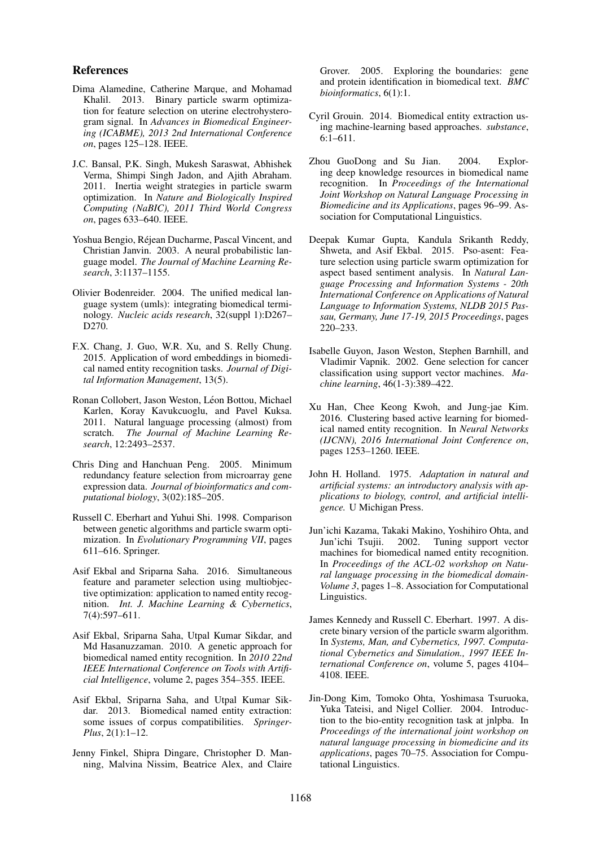#### References

- Dima Alamedine, Catherine Marque, and Mohamad Khalil. 2013. Binary particle swarm optimization for feature selection on uterine electrohysterogram signal. In *Advances in Biomedical Engineering (ICABME), 2013 2nd International Conference on*, pages 125–128. IEEE.
- J.C. Bansal, P.K. Singh, Mukesh Saraswat, Abhishek Verma, Shimpi Singh Jadon, and Ajith Abraham. 2011. Inertia weight strategies in particle swarm optimization. In *Nature and Biologically Inspired Computing (NaBIC), 2011 Third World Congress on*, pages 633–640. IEEE.
- Yoshua Bengio, Rejean Ducharme, Pascal Vincent, and ´ Christian Janvin. 2003. A neural probabilistic language model. *The Journal of Machine Learning Research*, 3:1137–1155.
- Olivier Bodenreider. 2004. The unified medical language system (umls): integrating biomedical terminology. *Nucleic acids research*, 32(suppl 1):D267– D270.
- F.X. Chang, J. Guo, W.R. Xu, and S. Relly Chung. 2015. Application of word embeddings in biomedical named entity recognition tasks. *Journal of Digital Information Management*, 13(5).
- Ronan Collobert, Jason Weston, Léon Bottou, Michael Karlen, Koray Kavukcuoglu, and Pavel Kuksa. 2011. Natural language processing (almost) from scratch. *The Journal of Machine Learning Research*, 12:2493–2537.
- Chris Ding and Hanchuan Peng. 2005. Minimum redundancy feature selection from microarray gene expression data. *Journal of bioinformatics and computational biology*, 3(02):185–205.
- Russell C. Eberhart and Yuhui Shi. 1998. Comparison between genetic algorithms and particle swarm optimization. In *Evolutionary Programming VII*, pages 611–616. Springer.
- Asif Ekbal and Sriparna Saha. 2016. Simultaneous feature and parameter selection using multiobjective optimization: application to named entity recognition. *Int. J. Machine Learning & Cybernetics*, 7(4):597–611.
- Asif Ekbal, Sriparna Saha, Utpal Kumar Sikdar, and Md Hasanuzzaman. 2010. A genetic approach for biomedical named entity recognition. In *2010 22nd IEEE International Conference on Tools with Artificial Intelligence*, volume 2, pages 354–355. IEEE.
- Asif Ekbal, Sriparna Saha, and Utpal Kumar Sikdar. 2013. Biomedical named entity extraction: some issues of corpus compatibilities. *Springer-Plus*, 2(1):1–12.
- Jenny Finkel, Shipra Dingare, Christopher D. Manning, Malvina Nissim, Beatrice Alex, and Claire

Grover. 2005. Exploring the boundaries: gene and protein identification in biomedical text. *BMC bioinformatics*, 6(1):1.

- Cyril Grouin. 2014. Biomedical entity extraction using machine-learning based approaches. *substance*, 6:1–611.
- Zhou GuoDong and Su Jian. 2004. Exploring deep knowledge resources in biomedical name recognition. In *Proceedings of the International Joint Workshop on Natural Language Processing in Biomedicine and its Applications*, pages 96–99. Association for Computational Linguistics.
- Deepak Kumar Gupta, Kandula Srikanth Reddy, Shweta, and Asif Ekbal. 2015. Pso-asent: Feature selection using particle swarm optimization for aspect based sentiment analysis. In *Natural Language Processing and Information Systems - 20th International Conference on Applications of Natural Language to Information Systems, NLDB 2015 Passau, Germany, June 17-19, 2015 Proceedings*, pages 220–233.
- Isabelle Guyon, Jason Weston, Stephen Barnhill, and Vladimir Vapnik. 2002. Gene selection for cancer classification using support vector machines. *Machine learning*, 46(1-3):389–422.
- Xu Han, Chee Keong Kwoh, and Jung-jae Kim. 2016. Clustering based active learning for biomedical named entity recognition. In *Neural Networks (IJCNN), 2016 International Joint Conference on*, pages 1253–1260. IEEE.
- John H. Holland. 1975. *Adaptation in natural and artificial systems: an introductory analysis with applications to biology, control, and artificial intelligence.* U Michigan Press.
- Jun'ichi Kazama, Takaki Makino, Yoshihiro Ohta, and Jun'ichi Tsujii. 2002. Tuning support vector machines for biomedical named entity recognition. In *Proceedings of the ACL-02 workshop on Natural language processing in the biomedical domain-Volume 3*, pages 1–8. Association for Computational Linguistics.
- James Kennedy and Russell C. Eberhart. 1997. A discrete binary version of the particle swarm algorithm. In *Systems, Man, and Cybernetics, 1997. Computational Cybernetics and Simulation., 1997 IEEE International Conference on*, volume 5, pages 4104– 4108. IEEE.
- Jin-Dong Kim, Tomoko Ohta, Yoshimasa Tsuruoka, Yuka Tateisi, and Nigel Collier. 2004. Introduction to the bio-entity recognition task at jnlpba. In *Proceedings of the international joint workshop on natural language processing in biomedicine and its applications*, pages 70–75. Association for Computational Linguistics.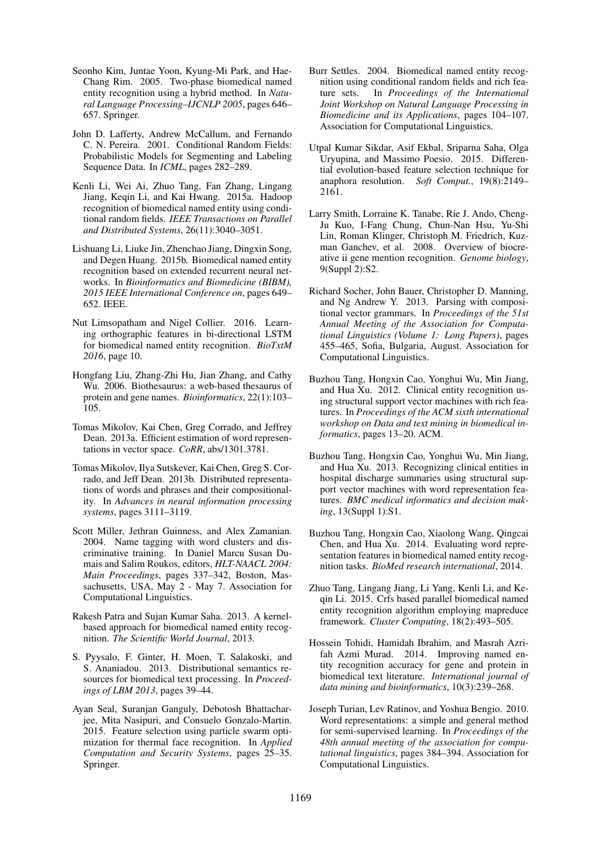- Seonho Kim, Juntae Yoon, Kyung-Mi Park, and Hae-Chang Rim. 2005. Two-phase biomedical named entity recognition using a hybrid method. In *Natural Language Processing–IJCNLP 2005*, pages 646– 657. Springer.
- John D. Lafferty, Andrew McCallum, and Fernando C. N. Pereira. 2001. Conditional Random Fields: Probabilistic Models for Segmenting and Labeling Sequence Data. In *ICML*, pages 282–289.
- Kenli Li, Wei Ai, Zhuo Tang, Fan Zhang, Lingang Jiang, Keqin Li, and Kai Hwang. 2015a. Hadoop recognition of biomedical named entity using conditional random fields. *IEEE Transactions on Parallel and Distributed Systems*, 26(11):3040–3051.
- Lishuang Li, Liuke Jin, Zhenchao Jiang, Dingxin Song, and Degen Huang. 2015b. Biomedical named entity recognition based on extended recurrent neural networks. In *Bioinformatics and Biomedicine (BIBM), 2015 IEEE International Conference on*, pages 649– 652. IEEE.
- Nut Limsopatham and Nigel Collier. 2016. Learning orthographic features in bi-directional LSTM for biomedical named entity recognition. *BioTxtM 2016*, page 10.
- Hongfang Liu, Zhang-Zhi Hu, Jian Zhang, and Cathy Wu. 2006. Biothesaurus: a web-based thesaurus of protein and gene names. *Bioinformatics*, 22(1):103– 105.
- Tomas Mikolov, Kai Chen, Greg Corrado, and Jeffrey Dean. 2013a. Efficient estimation of word representations in vector space. *CoRR*, abs/1301.3781.
- Tomas Mikolov, Ilya Sutskever, Kai Chen, Greg S. Corrado, and Jeff Dean. 2013b. Distributed representations of words and phrases and their compositionality. In *Advances in neural information processing systems*, pages 3111–3119.
- Scott Miller, Jethran Guinness, and Alex Zamanian. 2004. Name tagging with word clusters and discriminative training. In Daniel Marcu Susan Dumais and Salim Roukos, editors, *HLT-NAACL 2004: Main Proceedings*, pages 337–342, Boston, Massachusetts, USA, May 2 - May 7. Association for Computational Linguistics.
- Rakesh Patra and Sujan Kumar Saha. 2013. A kernelbased approach for biomedical named entity recognition. *The Scientific World Journal*, 2013.
- S. Pyysalo, F. Ginter, H. Moen, T. Salakoski, and S. Ananiadou. 2013. Distributional semantics resources for biomedical text processing. In *Proceedings of LBM 2013*, pages 39–44.
- Ayan Seal, Suranjan Ganguly, Debotosh Bhattacharjee, Mita Nasipuri, and Consuelo Gonzalo-Martin. 2015. Feature selection using particle swarm optimization for thermal face recognition. In *Applied Computation and Security Systems*, pages 25–35. Springer.
- Burr Settles. 2004. Biomedical named entity recognition using conditional random fields and rich feature sets. In *Proceedings of the International Joint Workshop on Natural Language Processing in Biomedicine and its Applications*, pages 104–107. Association for Computational Linguistics.
- Utpal Kumar Sikdar, Asif Ekbal, Sriparna Saha, Olga Uryupina, and Massimo Poesio. 2015. Differential evolution-based feature selection technique for anaphora resolution. *Soft Comput.*, 19(8):2149– 2161.
- Larry Smith, Lorraine K. Tanabe, Rie J. Ando, Cheng-Ju Kuo, I-Fang Chung, Chun-Nan Hsu, Yu-Shi Lin, Roman Klinger, Christoph M. Friedrich, Kuzman Ganchev, et al. 2008. Overview of biocreative ii gene mention recognition. *Genome biology*, 9(Suppl 2):S2.
- Richard Socher, John Bauer, Christopher D. Manning, and Ng Andrew Y. 2013. Parsing with compositional vector grammars. In *Proceedings of the 51st Annual Meeting of the Association for Computational Linguistics (Volume 1: Long Papers)*, pages 455–465, Sofia, Bulgaria, August. Association for Computational Linguistics.
- Buzhou Tang, Hongxin Cao, Yonghui Wu, Min Jiang, and Hua Xu. 2012. Clinical entity recognition using structural support vector machines with rich features. In *Proceedings of the ACM sixth international workshop on Data and text mining in biomedical informatics*, pages 13–20. ACM.
- Buzhou Tang, Hongxin Cao, Yonghui Wu, Min Jiang, and Hua Xu. 2013. Recognizing clinical entities in hospital discharge summaries using structural support vector machines with word representation features. *BMC medical informatics and decision making*, 13(Suppl 1):S1.
- Buzhou Tang, Hongxin Cao, Xiaolong Wang, Qingcai Chen, and Hua Xu. 2014. Evaluating word representation features in biomedical named entity recognition tasks. *BioMed research international*, 2014.
- Zhuo Tang, Lingang Jiang, Li Yang, Kenli Li, and Keqin Li. 2015. Crfs based parallel biomedical named entity recognition algorithm employing mapreduce framework. *Cluster Computing*, 18(2):493–505.
- Hossein Tohidi, Hamidah Ibrahim, and Masrah Azrifah Azmi Murad. 2014. Improving named entity recognition accuracy for gene and protein in biomedical text literature. *International journal of data mining and bioinformatics*, 10(3):239–268.
- Joseph Turian, Lev Ratinov, and Yoshua Bengio. 2010. Word representations: a simple and general method for semi-supervised learning. In *Proceedings of the 48th annual meeting of the association for computational linguistics*, pages 384–394. Association for Computational Linguistics.